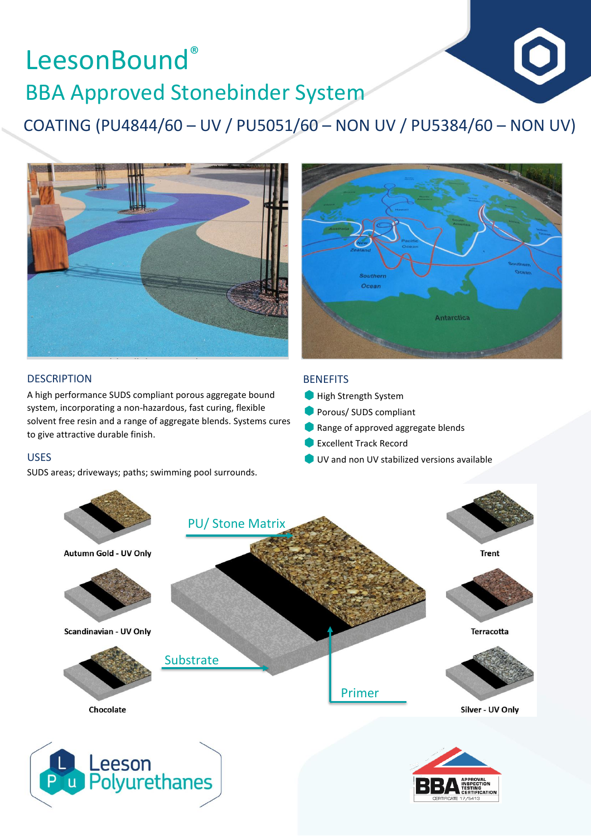# LeesonBound® BBA Approved Stonebinder System

COATING (PU4844/60 – UV / PU5051/60 – NON UV / PU5384/60 – NON UV)





#### **DESCRIPTION**

A high performance SUDS compliant porous aggregate bound system, incorporating a non-hazardous, fast curing, flexible solvent free resin and a range of aggregate blends. Systems cures to give attractive durable finish.

#### USES

SUDS areas; driveways; paths; swimming pool surrounds.

#### **BENEFITS**

- High Strength System
- **Porous/ SUDS compliant**
- Range of approved aggregate blends
- Excellent Track Record
- UV and non UV stabilized versions available